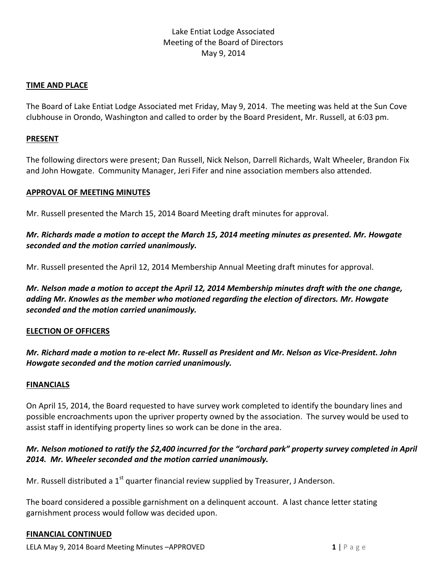# Lake Entiat Lodge Associated Meeting of the Board of Directors May 9, 2014

## **TIME AND PLACE**

The Board of Lake Entiat Lodge Associated met Friday, May 9, 2014. The meeting was held at the Sun Cove clubhouse in Orondo, Washington and called to order by the Board President, Mr. Russell, at 6:03 pm.

#### **PRESENT**

The following directors were present; Dan Russell, Nick Nelson, Darrell Richards, Walt Wheeler, Brandon Fix and John Howgate. Community Manager, Jeri Fifer and nine association members also attended.

## **APPROVAL OF MEETING MINUTES**

Mr. Russell presented the March 15, 2014 Board Meeting draft minutes for approval.

# *Mr. Richards made a motion to accept the March 15, 2014 meeting minutes as presented. Mr. Howgate seconded and the motion carried unanimously.*

Mr. Russell presented the April 12, 2014 Membership Annual Meeting draft minutes for approval.

*Mr. Nelson made a motion to accept the April 12, 2014 Membership minutes draft with the one change, adding Mr. Knowles as the member who motioned regarding the election of directors. Mr. Howgate seconded and the motion carried unanimously.*

## **ELECTION OF OFFICERS**

*Mr. Richard made a motion to re-elect Mr. Russell as President and Mr. Nelson as Vice-President. John Howgate seconded and the motion carried unanimously.*

#### **FINANCIALS**

On April 15, 2014, the Board requested to have survey work completed to identify the boundary lines and possible encroachments upon the upriver property owned by the association. The survey would be used to assist staff in identifying property lines so work can be done in the area.

# *Mr. Nelson motioned to ratify the \$2,400 incurred for the "orchard park" property survey completed in April 2014. Mr. Wheeler seconded and the motion carried unanimously.*

Mr. Russell distributed a 1<sup>st</sup> quarter financial review supplied by Treasurer, J Anderson.

The board considered a possible garnishment on a delinquent account. A last chance letter stating garnishment process would follow was decided upon.

## **FINANCIAL CONTINUED**

**LELA May 9, 2014 Board Meeting Minutes –APPROVED 1** | P a g e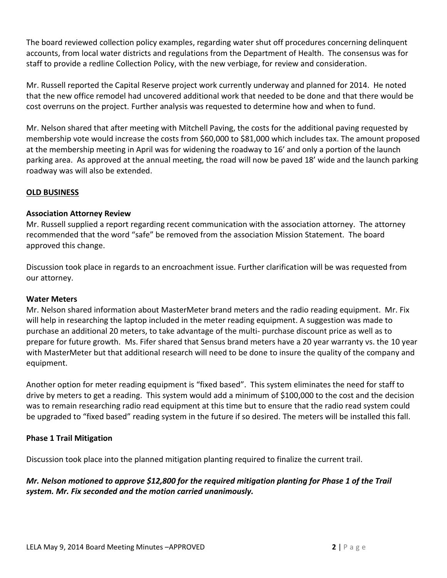The board reviewed collection policy examples, regarding water shut off procedures concerning delinquent accounts, from local water districts and regulations from the Department of Health. The consensus was for staff to provide a redline Collection Policy, with the new verbiage, for review and consideration.

Mr. Russell reported the Capital Reserve project work currently underway and planned for 2014. He noted that the new office remodel had uncovered additional work that needed to be done and that there would be cost overruns on the project. Further analysis was requested to determine how and when to fund.

Mr. Nelson shared that after meeting with Mitchell Paving, the costs for the additional paving requested by membership vote would increase the costs from \$60,000 to \$81,000 which includes tax. The amount proposed at the membership meeting in April was for widening the roadway to 16' and only a portion of the launch parking area. As approved at the annual meeting, the road will now be paved 18' wide and the launch parking roadway was will also be extended.

## **OLD BUSINESS**

## **Association Attorney Review**

Mr. Russell supplied a report regarding recent communication with the association attorney. The attorney recommended that the word "safe" be removed from the association Mission Statement. The board approved this change.

Discussion took place in regards to an encroachment issue. Further clarification will be was requested from our attorney.

## **Water Meters**

Mr. Nelson shared information about MasterMeter brand meters and the radio reading equipment. Mr. Fix will help in researching the laptop included in the meter reading equipment. A suggestion was made to purchase an additional 20 meters, to take advantage of the multi- purchase discount price as well as to prepare for future growth. Ms. Fifer shared that Sensus brand meters have a 20 year warranty vs. the 10 year with MasterMeter but that additional research will need to be done to insure the quality of the company and equipment.

Another option for meter reading equipment is "fixed based". This system eliminates the need for staff to drive by meters to get a reading. This system would add a minimum of \$100,000 to the cost and the decision was to remain researching radio read equipment at this time but to ensure that the radio read system could be upgraded to "fixed based" reading system in the future if so desired. The meters will be installed this fall.

## **Phase 1 Trail Mitigation**

Discussion took place into the planned mitigation planting required to finalize the current trail.

# *Mr. Nelson motioned to approve \$12,800 for the required mitigation planting for Phase 1 of the Trail system. Mr. Fix seconded and the motion carried unanimously.*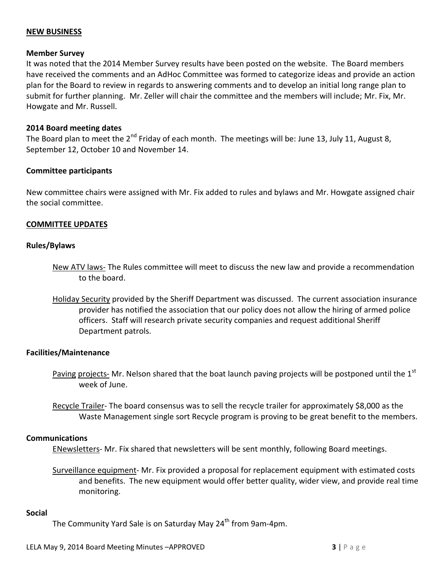## **NEW BUSINESS**

#### **Member Survey**

It was noted that the 2014 Member Survey results have been posted on the website. The Board members have received the comments and an AdHoc Committee was formed to categorize ideas and provide an action plan for the Board to review in regards to answering comments and to develop an initial long range plan to submit for further planning. Mr. Zeller will chair the committee and the members will include; Mr. Fix, Mr. Howgate and Mr. Russell.

#### **2014 Board meeting dates**

The Board plan to meet the 2<sup>nd</sup> Friday of each month. The meetings will be: June 13, July 11, August 8, September 12, October 10 and November 14.

## **Committee participants**

New committee chairs were assigned with Mr. Fix added to rules and bylaws and Mr. Howgate assigned chair the social committee.

## **COMMITTEE UPDATES**

#### **Rules/Bylaws**

- New ATV laws- The Rules committee will meet to discuss the new law and provide a recommendation to the board.
- Holiday Security provided by the Sheriff Department was discussed. The current association insurance provider has notified the association that our policy does not allow the hiring of armed police officers. Staff will research private security companies and request additional Sheriff Department patrols.

#### **Facilities/Maintenance**

- Paving projects- Mr. Nelson shared that the boat launch paving projects will be postponed until the 1<sup>st</sup> week of June.
- Recycle Trailer- The board consensus was to sell the recycle trailer for approximately \$8,000 as the Waste Management single sort Recycle program is proving to be great benefit to the members.

#### **Communications**

ENewsletters- Mr. Fix shared that newsletters will be sent monthly, following Board meetings.

Surveillance equipment- Mr. Fix provided a proposal for replacement equipment with estimated costs and benefits. The new equipment would offer better quality, wider view, and provide real time monitoring.

#### **Social**

The Community Yard Sale is on Saturday May 24<sup>th</sup> from 9am-4pm.